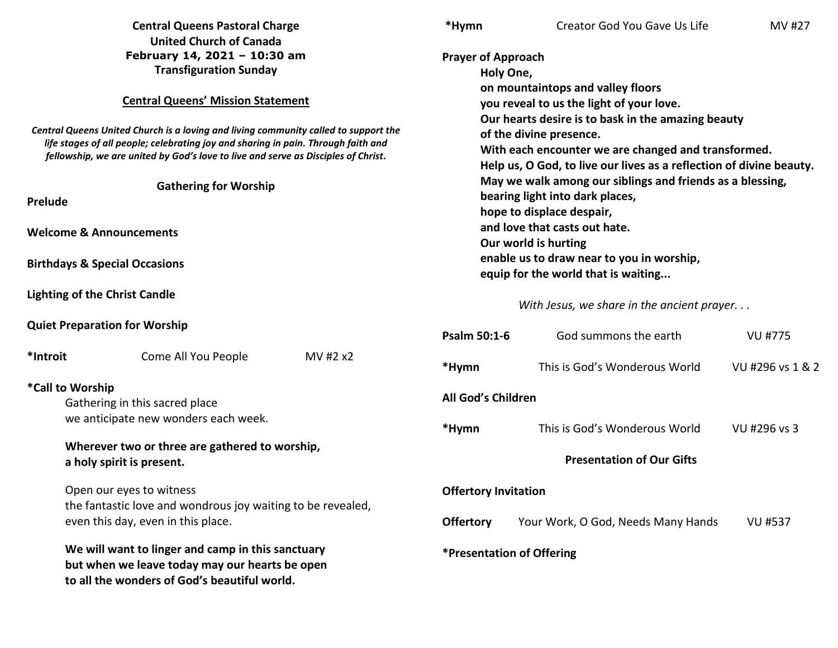|                                                                                                                                                                                                                                                               | <b>Central Queens Pastoral Charge</b><br><b>United Church of Canada</b>                                                                             | *Hymn                                                                                                                                                                                                       | Creator God You Gave Us Life                                                                                                                                                                                                                                           | MV #27           |  |
|---------------------------------------------------------------------------------------------------------------------------------------------------------------------------------------------------------------------------------------------------------------|-----------------------------------------------------------------------------------------------------------------------------------------------------|-------------------------------------------------------------------------------------------------------------------------------------------------------------------------------------------------------------|------------------------------------------------------------------------------------------------------------------------------------------------------------------------------------------------------------------------------------------------------------------------|------------------|--|
|                                                                                                                                                                                                                                                               | February 14, 2021 - 10:30 am<br><b>Transfiguration Sunday</b>                                                                                       |                                                                                                                                                                                                             | <b>Prayer of Approach</b><br>Holy One,                                                                                                                                                                                                                                 |                  |  |
|                                                                                                                                                                                                                                                               | <b>Central Queens' Mission Statement</b>                                                                                                            |                                                                                                                                                                                                             | on mountaintops and valley floors<br>you reveal to us the light of your love.                                                                                                                                                                                          |                  |  |
| Central Queens United Church is a loving and living community called to support the<br>life stages of all people; celebrating joy and sharing in pain. Through faith and<br>fellowship, we are united by God's love to live and serve as Disciples of Christ. |                                                                                                                                                     | Our hearts desire is to bask in the amazing beauty<br>of the divine presence.<br>With each encounter we are changed and transformed.<br>Help us, O God, to live our lives as a reflection of divine beauty. |                                                                                                                                                                                                                                                                        |                  |  |
| <b>Gathering for Worship</b><br><b>Prelude</b>                                                                                                                                                                                                                |                                                                                                                                                     |                                                                                                                                                                                                             | May we walk among our siblings and friends as a blessing,<br>bearing light into dark places,<br>hope to displace despair,<br>and love that casts out hate.<br>Our world is hurting<br>enable us to draw near to you in worship,<br>equip for the world that is waiting |                  |  |
|                                                                                                                                                                                                                                                               |                                                                                                                                                     |                                                                                                                                                                                                             |                                                                                                                                                                                                                                                                        |                  |  |
| <b>Welcome &amp; Announcements</b>                                                                                                                                                                                                                            |                                                                                                                                                     |                                                                                                                                                                                                             |                                                                                                                                                                                                                                                                        |                  |  |
| <b>Birthdays &amp; Special Occasions</b>                                                                                                                                                                                                                      |                                                                                                                                                     |                                                                                                                                                                                                             |                                                                                                                                                                                                                                                                        |                  |  |
| <b>Lighting of the Christ Candle</b>                                                                                                                                                                                                                          |                                                                                                                                                     |                                                                                                                                                                                                             | With Jesus, we share in the ancient prayer                                                                                                                                                                                                                             |                  |  |
|                                                                                                                                                                                                                                                               | <b>Quiet Preparation for Worship</b>                                                                                                                | <b>Psalm 50:1-6</b>                                                                                                                                                                                         | God summons the earth                                                                                                                                                                                                                                                  | <b>VU #775</b>   |  |
| *Introit                                                                                                                                                                                                                                                      | MV #2 x2<br>Come All You People                                                                                                                     | *Hymn                                                                                                                                                                                                       | This is God's Wonderous World                                                                                                                                                                                                                                          | VU #296 vs 1 & 2 |  |
| *Call to Worship<br>Gathering in this sacred place                                                                                                                                                                                                            |                                                                                                                                                     |                                                                                                                                                                                                             | All God's Children                                                                                                                                                                                                                                                     |                  |  |
|                                                                                                                                                                                                                                                               | we anticipate new wonders each week.                                                                                                                | *Hymn                                                                                                                                                                                                       | This is God's Wonderous World                                                                                                                                                                                                                                          | VU #296 vs 3     |  |
|                                                                                                                                                                                                                                                               | Wherever two or three are gathered to worship,<br>a holy spirit is present.                                                                         |                                                                                                                                                                                                             | <b>Presentation of Our Gifts</b>                                                                                                                                                                                                                                       |                  |  |
|                                                                                                                                                                                                                                                               | Open our eyes to witness<br>the fantastic love and wondrous joy waiting to be revealed,                                                             |                                                                                                                                                                                                             | <b>Offertory Invitation</b>                                                                                                                                                                                                                                            |                  |  |
|                                                                                                                                                                                                                                                               | even this day, even in this place.                                                                                                                  | <b>Offertory</b>                                                                                                                                                                                            | Your Work, O God, Needs Many Hands                                                                                                                                                                                                                                     | <b>VU #537</b>   |  |
|                                                                                                                                                                                                                                                               | We will want to linger and camp in this sanctuary<br>but when we leave today may our hearts be open<br>to all the wonders of God's beautiful world. |                                                                                                                                                                                                             | *Presentation of Offering                                                                                                                                                                                                                                              |                  |  |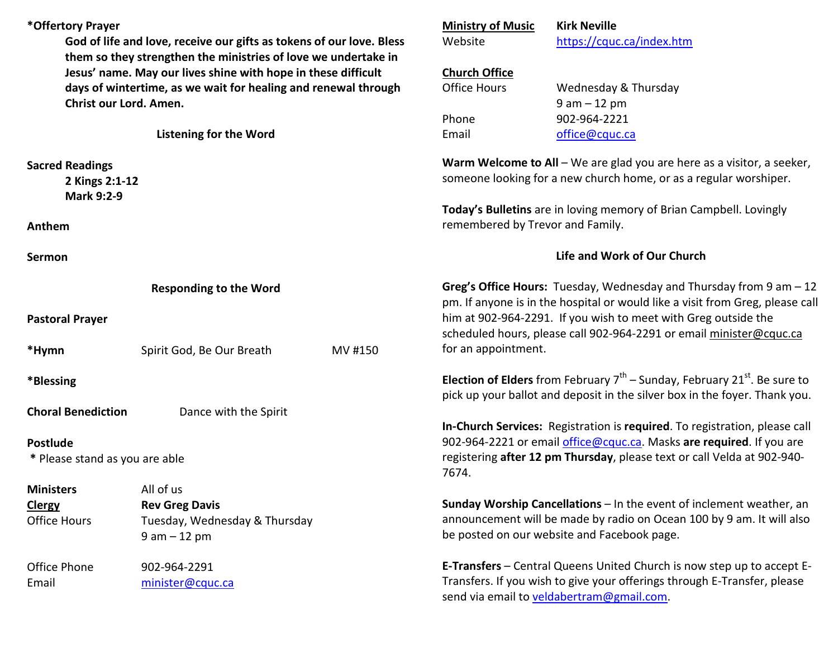| *Offertory Prayer                                                                                                                                                                                                           | God of life and love, receive our gifts as tokens of our love. Bless |         | <b>Ministry of Music</b><br>Website                                                                                                                     | <b>Kirk Neville</b><br>https://cquc.ca/index.htm                                                                                                                                |  |
|-----------------------------------------------------------------------------------------------------------------------------------------------------------------------------------------------------------------------------|----------------------------------------------------------------------|---------|---------------------------------------------------------------------------------------------------------------------------------------------------------|---------------------------------------------------------------------------------------------------------------------------------------------------------------------------------|--|
| them so they strengthen the ministries of love we undertake in<br>Jesus' name. May our lives shine with hope in these difficult<br>days of wintertime, as we wait for healing and renewal through<br>Christ our Lord. Amen. |                                                                      |         | <b>Church Office</b>                                                                                                                                    |                                                                                                                                                                                 |  |
|                                                                                                                                                                                                                             |                                                                      |         | <b>Office Hours</b>                                                                                                                                     | Wednesday & Thursday                                                                                                                                                            |  |
|                                                                                                                                                                                                                             |                                                                      |         |                                                                                                                                                         | $9 am - 12 pm$                                                                                                                                                                  |  |
|                                                                                                                                                                                                                             |                                                                      |         | Phone                                                                                                                                                   | 902-964-2221                                                                                                                                                                    |  |
|                                                                                                                                                                                                                             | <b>Listening for the Word</b>                                        |         | Email                                                                                                                                                   | office@cquc.ca                                                                                                                                                                  |  |
| <b>Sacred Readings</b>                                                                                                                                                                                                      |                                                                      |         |                                                                                                                                                         | Warm Welcome to All $-$ We are glad you are here as a visitor, a seeker,                                                                                                        |  |
| 2 Kings 2:1-12                                                                                                                                                                                                              |                                                                      |         | someone looking for a new church home, or as a regular worshiper.                                                                                       |                                                                                                                                                                                 |  |
| <b>Mark 9:2-9</b><br>Anthem                                                                                                                                                                                                 |                                                                      |         | Today's Bulletins are in loving memory of Brian Campbell. Lovingly<br>remembered by Trevor and Family.                                                  |                                                                                                                                                                                 |  |
| Sermon                                                                                                                                                                                                                      |                                                                      |         | Life and Work of Our Church                                                                                                                             |                                                                                                                                                                                 |  |
| <b>Responding to the Word</b>                                                                                                                                                                                               |                                                                      |         | Greg's Office Hours: Tuesday, Wednesday and Thursday from $9$ am $-12$<br>pm. If anyone is in the hospital or would like a visit from Greg, please call |                                                                                                                                                                                 |  |
| <b>Pastoral Prayer</b>                                                                                                                                                                                                      |                                                                      |         | him at 902-964-2291. If you wish to meet with Greg outside the<br>scheduled hours, please call 902-964-2291 or email minister@cquc.ca                   |                                                                                                                                                                                 |  |
| *Hymn                                                                                                                                                                                                                       | Spirit God, Be Our Breath                                            | MV #150 | for an appointment.                                                                                                                                     |                                                                                                                                                                                 |  |
| *Blessing                                                                                                                                                                                                                   |                                                                      |         |                                                                                                                                                         | <b>Election of Elders</b> from February $7^{th}$ – Sunday, February 21 <sup>st</sup> . Be sure to<br>pick up your ballot and deposit in the silver box in the foyer. Thank you. |  |
| <b>Choral Benediction</b>                                                                                                                                                                                                   | Dance with the Spirit                                                |         |                                                                                                                                                         |                                                                                                                                                                                 |  |
| <b>Postlude</b>                                                                                                                                                                                                             |                                                                      |         |                                                                                                                                                         | In-Church Services: Registration is required. To registration, please call<br>902-964-2221 or email office@cquc.ca. Masks are required. If you are                              |  |
| * Please stand as you are able                                                                                                                                                                                              |                                                                      |         | registering after 12 pm Thursday, please text or call Velda at 902-940-<br>7674.                                                                        |                                                                                                                                                                                 |  |
| <b>Ministers</b>                                                                                                                                                                                                            | All of us                                                            |         |                                                                                                                                                         |                                                                                                                                                                                 |  |
| <b>Clergy</b>                                                                                                                                                                                                               | <b>Rev Greg Davis</b>                                                |         |                                                                                                                                                         | Sunday Worship Cancellations - In the event of inclement weather, an                                                                                                            |  |
| <b>Office Hours</b>                                                                                                                                                                                                         | Tuesday, Wednesday & Thursday<br>$9 am - 12 pm$                      |         |                                                                                                                                                         | announcement will be made by radio on Ocean 100 by 9 am. It will also<br>be posted on our website and Facebook page.                                                            |  |
| Office Phone                                                                                                                                                                                                                | 902-964-2291                                                         |         |                                                                                                                                                         | E-Transfers - Central Queens United Church is now step up to accept E-                                                                                                          |  |
| Email                                                                                                                                                                                                                       | minister@cquc.ca                                                     |         |                                                                                                                                                         | Transfers. If you wish to give your offerings through E-Transfer, please                                                                                                        |  |

send via email to veldabertram@gmail.com.